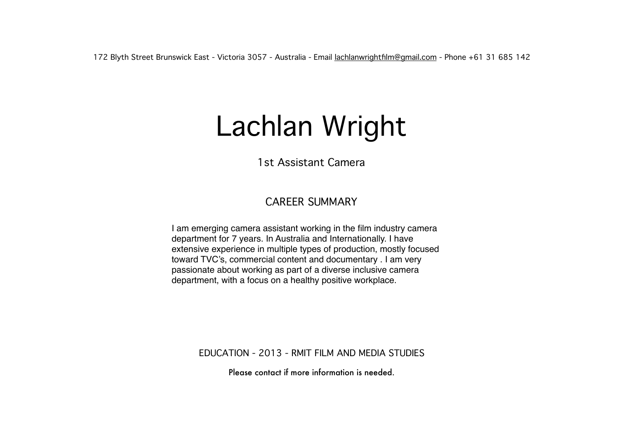172 Blyth Street Brunswick East - Victoria 3057 - Australia - Email [lachlanwrightfilm@gmail.com](mailto:lachlanwrightfilm@gmail.com) - Phone +61 31 685 142

## Lachlan Wright

1st Assistant Camera

## CAREER SUMMARY

I am emerging camera assistant working in the film industry camera department for 7 years. In Australia and Internationally. I have extensive experience in multiple types of production, mostly focused toward TVC's, commercial content and documentary . I am very passionate about working as part of a diverse inclusive camera department, with a focus on a healthy positive workplace.

EDUCATION - 2013 - RMIT FILM AND MEDIA STUDIES

Please contact if more information is needed.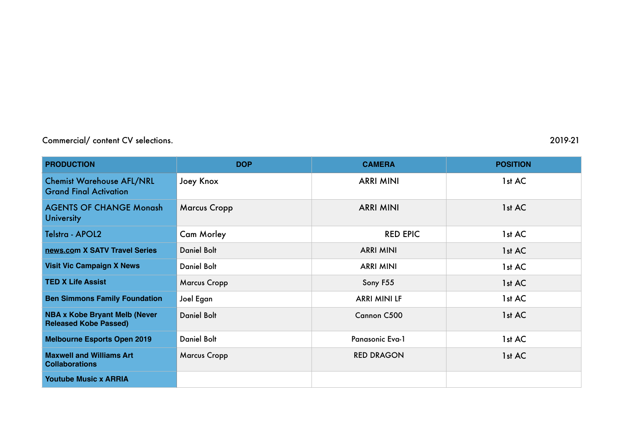## Commercial/ content CV selections. 2019-21

| <b>PRODUCTION</b>                                                    | <b>DOP</b>          | <b>CAMERA</b>          | <b>POSITION</b> |
|----------------------------------------------------------------------|---------------------|------------------------|-----------------|
| <b>Chemist Warehouse AFL/NRL</b><br><b>Grand Final Activation</b>    | Joey Knox           | <b>ARRI MINI</b>       | 1st AC          |
| <b>AGENTS OF CHANGE Monash</b><br><b>University</b>                  | <b>Marcus Cropp</b> | <b>ARRI MINI</b>       | 1st AC          |
| Telstra - APOL2                                                      | <b>Cam Morley</b>   | <b>RED EPIC</b>        | 1st AC          |
| news.com X SATV Travel Series                                        | <b>Daniel Bolt</b>  | <b>ARRI MINI</b>       | 1st AC          |
| <b>Visit Vic Campaign X News</b>                                     | <b>Daniel Bolt</b>  | <b>ARRI MINI</b>       | 1st AC          |
| <b>TED X Life Assist</b>                                             | <b>Marcus Cropp</b> | Sony F55               | 1st AC          |
| <b>Ben Simmons Family Foundation</b>                                 | Joel Egan           | <b>ARRI MINI LF</b>    | 1st AC          |
| <b>NBA x Kobe Bryant Melb (Never</b><br><b>Released Kobe Passed)</b> | <b>Daniel Bolt</b>  | Cannon C500            | 1st AC          |
| <b>Melbourne Esports Open 2019</b>                                   | <b>Daniel Bolt</b>  | <b>Panasonic Eva-1</b> | 1st AC          |
| <b>Maxwell and Williams Art</b><br><b>Collaborations</b>             | <b>Marcus Cropp</b> | <b>RED DRAGON</b>      | 1st AC          |
| <b>Youtube Music x ARRIA</b>                                         |                     |                        |                 |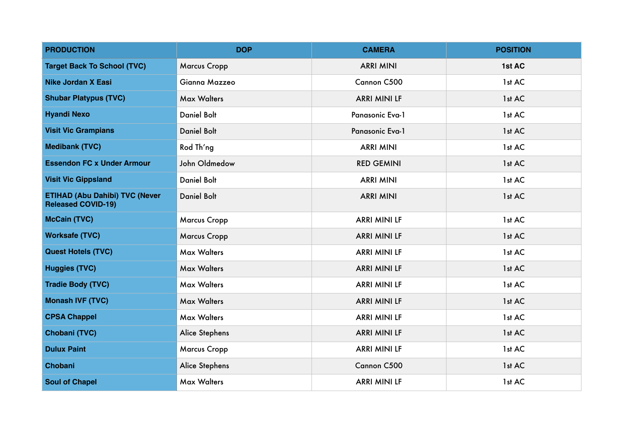| <b>PRODUCTION</b>                                                  | <b>DOP</b>          | <b>CAMERA</b>       | <b>POSITION</b> |
|--------------------------------------------------------------------|---------------------|---------------------|-----------------|
| <b>Target Back To School (TVC)</b>                                 | <b>Marcus Cropp</b> | <b>ARRI MINI</b>    | 1st AC          |
| <b>Nike Jordan X Easi</b>                                          | Gianna Mazzeo       | Cannon C500         | 1st AC          |
| <b>Shubar Platypus (TVC)</b>                                       | <b>Max Walters</b>  | <b>ARRI MINI LF</b> | 1st AC          |
| <b>Hyandi Nexo</b>                                                 | <b>Daniel Bolt</b>  | Panasonic Eva-1     | 1st AC          |
| <b>Visit Vic Grampians</b>                                         | <b>Daniel Bolt</b>  | Panasonic Eva-1     | 1st AC          |
| <b>Medibank (TVC)</b>                                              | Rod Th'ng           | <b>ARRI MINI</b>    | 1st AC          |
| <b>Essendon FC x Under Armour</b>                                  | John Oldmedow       | <b>RED GEMINI</b>   | 1st AC          |
| <b>Visit Vic Gippsland</b>                                         | <b>Daniel Bolt</b>  | <b>ARRI MINI</b>    | 1st AC          |
| <b>ETIHAD (Abu Dahibi) TVC (Never</b><br><b>Released COVID-19)</b> | <b>Daniel Bolt</b>  | <b>ARRI MINI</b>    | 1st AC          |
| <b>McCain (TVC)</b>                                                | <b>Marcus Cropp</b> | <b>ARRI MINI LF</b> | 1st AC          |
| <b>Worksafe (TVC)</b>                                              | <b>Marcus Cropp</b> | <b>ARRI MINI LF</b> | 1st AC          |
| <b>Quest Hotels (TVC)</b>                                          | <b>Max Walters</b>  | <b>ARRI MINI LF</b> | 1st AC          |
| <b>Huggies (TVC)</b>                                               | <b>Max Walters</b>  | <b>ARRI MINI LF</b> | 1st AC          |
| <b>Tradie Body (TVC)</b>                                           | <b>Max Walters</b>  | <b>ARRI MINI LF</b> | 1st AC          |
| <b>Monash IVF (TVC)</b>                                            | <b>Max Walters</b>  | <b>ARRI MINI LF</b> | 1st AC          |
| <b>CPSA Chappel</b>                                                | <b>Max Walters</b>  | <b>ARRI MINI LF</b> | 1st AC          |
| Chobani (TVC)                                                      | Alice Stephens      | <b>ARRI MINI LF</b> | 1st AC          |
| <b>Dulux Paint</b>                                                 | <b>Marcus Cropp</b> | <b>ARRI MINI LF</b> | 1st AC          |
| Chobani                                                            | Alice Stephens      | Cannon C500         | 1st AC          |
| <b>Soul of Chapel</b>                                              | <b>Max Walters</b>  | <b>ARRI MINI LF</b> | 1st AC          |